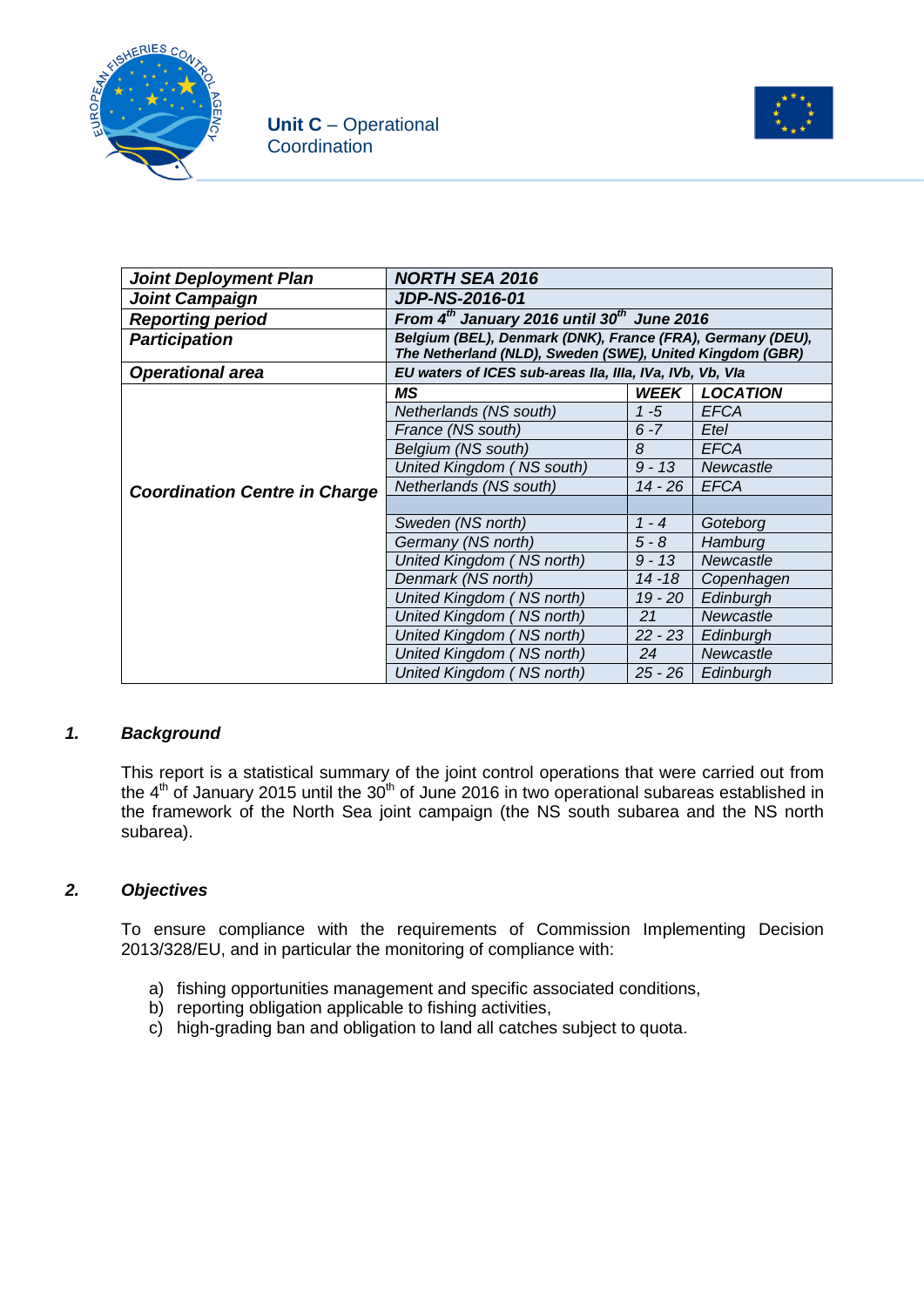



| <b>Joint Deployment Plan</b>         | <b>NORTH SEA 2016</b>                                                                                                  |             |                 |  |
|--------------------------------------|------------------------------------------------------------------------------------------------------------------------|-------------|-----------------|--|
| <b>Joint Campaign</b>                | <b>JDP-NS-2016-01</b>                                                                                                  |             |                 |  |
| <b>Reporting period</b>              | From $4^{th}$ January 2016 until 30 <sup>th</sup> June 2016                                                            |             |                 |  |
| <b>Participation</b>                 | Belgium (BEL), Denmark (DNK), France (FRA), Germany (DEU),<br>The Netherland (NLD), Sweden (SWE), United Kingdom (GBR) |             |                 |  |
| <b>Operational area</b>              | EU waters of ICES sub-areas IIa, IIIa, IVa, IVb, Vb, VIa                                                               |             |                 |  |
|                                      | MS                                                                                                                     | <b>WEEK</b> | <b>LOCATION</b> |  |
|                                      | Netherlands (NS south)                                                                                                 | $1 - 5$     | <b>EFCA</b>     |  |
|                                      | France (NS south)                                                                                                      | $6 - 7$     | Etel            |  |
|                                      | Belgium (NS south)                                                                                                     | 8           | <b>EFCA</b>     |  |
|                                      | United Kingdom (NS south)                                                                                              | $9 - 13$    | Newcastle       |  |
| <b>Coordination Centre in Charge</b> | Netherlands (NS south)<br>$14 - 26$                                                                                    |             | <b>EFCA</b>     |  |
|                                      |                                                                                                                        |             |                 |  |
|                                      | Sweden (NS north)                                                                                                      | $1 - 4$     | Goteborg        |  |
|                                      | Germany (NS north)                                                                                                     | $5 - 8$     | Hamburg         |  |
|                                      | United Kingdom (NS north)                                                                                              | $9 - 13$    | Newcastle       |  |
|                                      | Denmark (NS north)                                                                                                     | $14 - 18$   | Copenhagen      |  |
|                                      | United Kingdom (NS north)                                                                                              | $19 - 20$   | Edinburgh       |  |
|                                      | United Kingdom (NS north)                                                                                              | 21          | Newcastle       |  |
|                                      | United Kingdom (NS north)                                                                                              | $22 - 23$   | Edinburgh       |  |
|                                      | United Kingdom (NS north)                                                                                              | 24          | Newcastle       |  |
|                                      | United Kingdom (NS north)                                                                                              | $25 - 26$   | Edinburgh       |  |

### *1. Background*

This report is a statistical summary of the joint control operations that were carried out from the  $4<sup>th</sup>$  of January 2015 until the 30<sup>th</sup> of June 2016 in two operational subareas established in the framework of the North Sea joint campaign (the NS south subarea and the NS north subarea).

### *2. Objectives*

To ensure compliance with the requirements of Commission Implementing Decision 2013/328/EU, and in particular the monitoring of compliance with:

- a) fishing opportunities management and specific associated conditions,
- b) reporting obligation applicable to fishing activities,
- c) high-grading ban and obligation to land all catches subject to quota.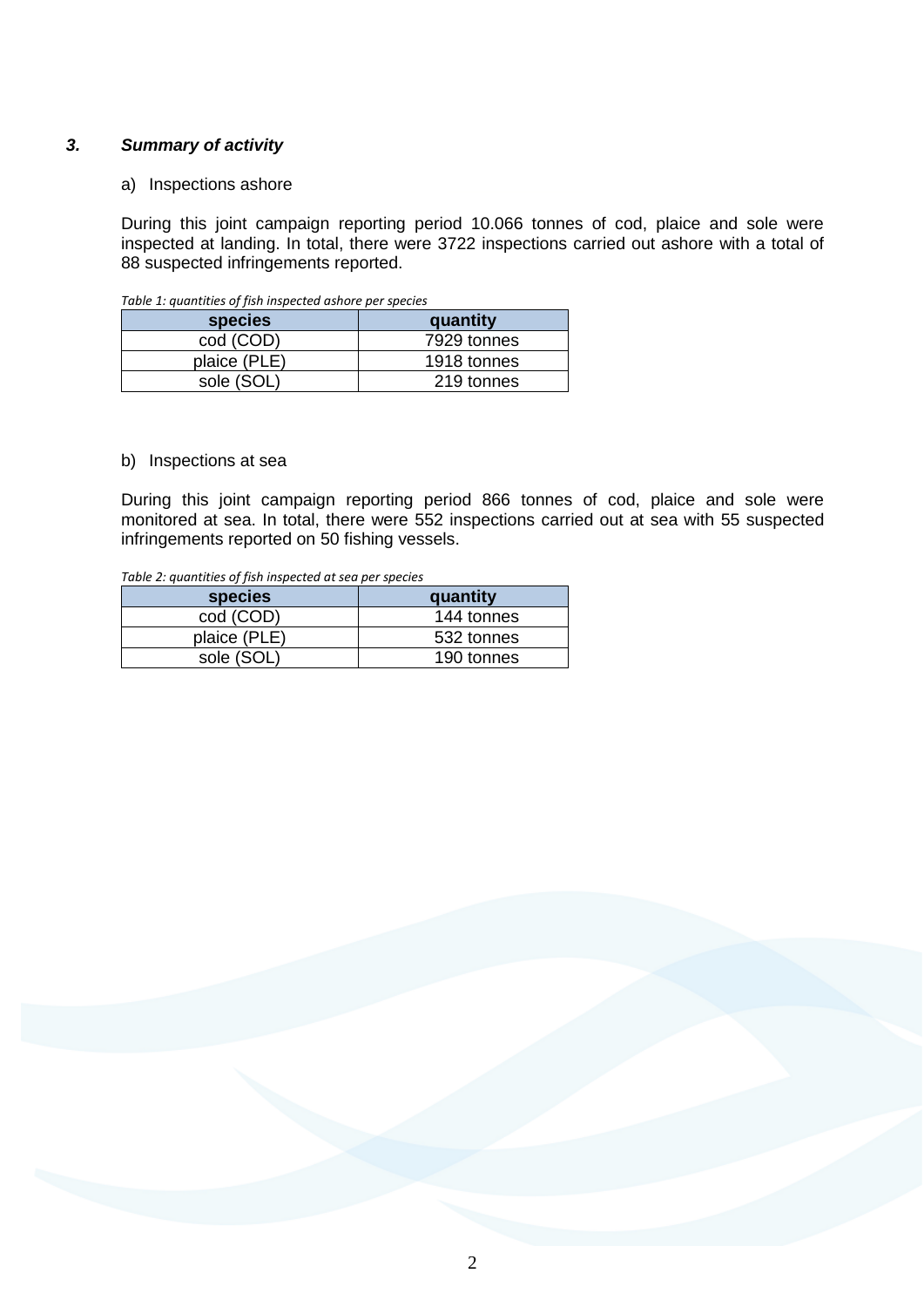### *3. Summary of activity*

#### a) Inspections ashore

During this joint campaign reporting period 10.066 tonnes of cod, plaice and sole were inspected at landing. In total, there were 3722 inspections carried out ashore with a total of 88 suspected infringements reported.

| species      | quantity    |
|--------------|-------------|
| cod (COD)    | 7929 tonnes |
| plaice (PLE) | 1918 tonnes |
| sole (SOL)   | 219 tonnes  |

*Table 1: quantities of fish inspected ashore per species*

#### b) Inspections at sea

During this joint campaign reporting period 866 tonnes of cod, plaice and sole were monitored at sea. In total, there were 552 inspections carried out at sea with 55 suspected infringements reported on 50 fishing vessels.

*Table 2: quantities of fish inspected at sea per species*

| <b>species</b> | quantity   |
|----------------|------------|
| cod (COD)      | 144 tonnes |
| plaice (PLE)   | 532 tonnes |
| sole (SOL)     | 190 tonnes |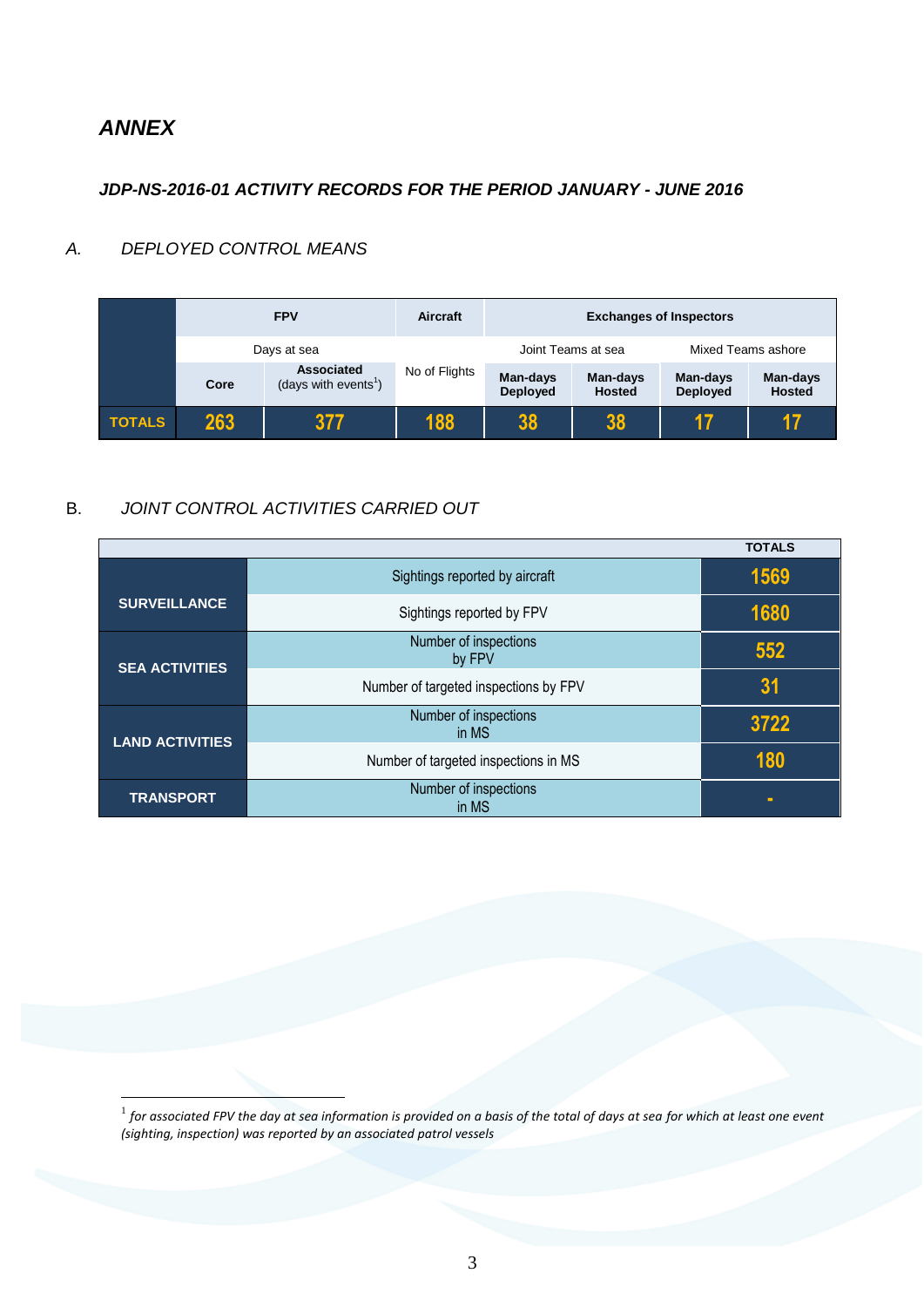## *ANNEX*

<u>.</u>

### *JDP-NS-2016-01 ACTIVITY RECORDS FOR THE PERIOD JANUARY - JUNE 2016*

## *A. DEPLOYED CONTROL MEANS*

|               |      | <b>FPV</b>                                            | Aircraft      | <b>Exchanges of Inspectors</b> |                           |                             |                           |
|---------------|------|-------------------------------------------------------|---------------|--------------------------------|---------------------------|-----------------------------|---------------------------|
|               |      | Days at sea                                           |               |                                | Joint Teams at sea        | Mixed Teams ashore          |                           |
|               | Core | <b>Associated</b><br>(days with events <sup>1</sup> ) | No of Flights | Man-days<br><b>Deployed</b>    | Man-days<br><b>Hosted</b> | Man-days<br><b>Deployed</b> | Man-days<br><b>Hosted</b> |
| <b>TOTALS</b> | 263  | 377                                                   | 188           | 38                             | 38                        | 17                          | 17                        |

## B. *JOINT CONTROL ACTIVITIES CARRIED OUT*

|                        |                                       | <b>TOTALS</b> |
|------------------------|---------------------------------------|---------------|
|                        | Sightings reported by aircraft        | 1569          |
| <b>SURVEILLANCE</b>    | Sightings reported by FPV             | 1680          |
| <b>SEA ACTIVITIES</b>  | Number of inspections<br>by FPV       | 552           |
|                        | Number of targeted inspections by FPV | 31            |
| <b>LAND ACTIVITIES</b> | Number of inspections<br>in MS        | 3722          |
|                        | Number of targeted inspections in MS  | 180           |
| <b>TRANSPORT</b>       | Number of inspections<br>in MS        | ۰             |

 $^{\rm 1}$  for associated FPV the day at sea information is provided on a basis of the total of days at sea for which at least one event *(sighting, inspection) was reported by an associated patrol vessels*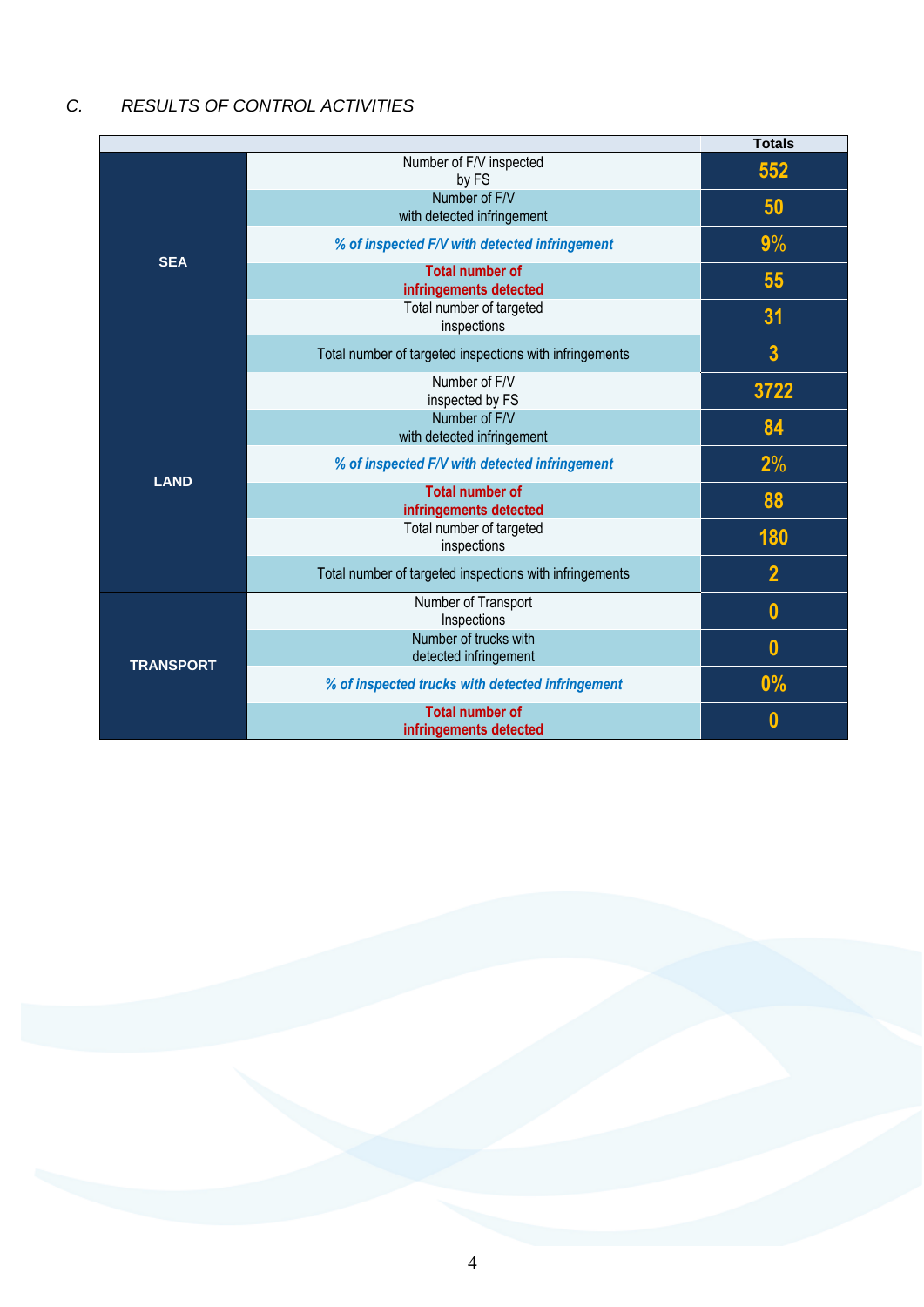# *C. RESULTS OF CONTROL ACTIVITIES*

|                  |                                                         | <b>Totals</b>           |
|------------------|---------------------------------------------------------|-------------------------|
| <b>SEA</b>       | Number of F/V inspected<br>by FS                        | 552                     |
|                  | Number of F/V<br>with detected infringement             | 50                      |
|                  | % of inspected F/V with detected infringement           | 9%                      |
|                  | <b>Total number of</b><br>infringements detected        | 55                      |
|                  | Total number of targeted<br>inspections                 | 31                      |
|                  | Total number of targeted inspections with infringements | $\overline{\mathbf{3}}$ |
|                  | Number of F/V<br>inspected by FS                        | 3722                    |
|                  | Number of F/V<br>with detected infringement             | 84                      |
| <b>LAND</b>      | % of inspected F/V with detected infringement           | 2%                      |
|                  | <b>Total number of</b><br>infringements detected        | 88                      |
|                  | Total number of targeted<br>inspections                 | 180                     |
|                  | Total number of targeted inspections with infringements | $\overline{2}$          |
|                  | Number of Transport<br>Inspections                      | $\bf{0}$                |
| <b>TRANSPORT</b> | Number of trucks with<br>detected infringement          | $\bf{0}$                |
|                  | % of inspected trucks with detected infringement        | 0%                      |
|                  | <b>Total number of</b><br>infringements detected        | 0                       |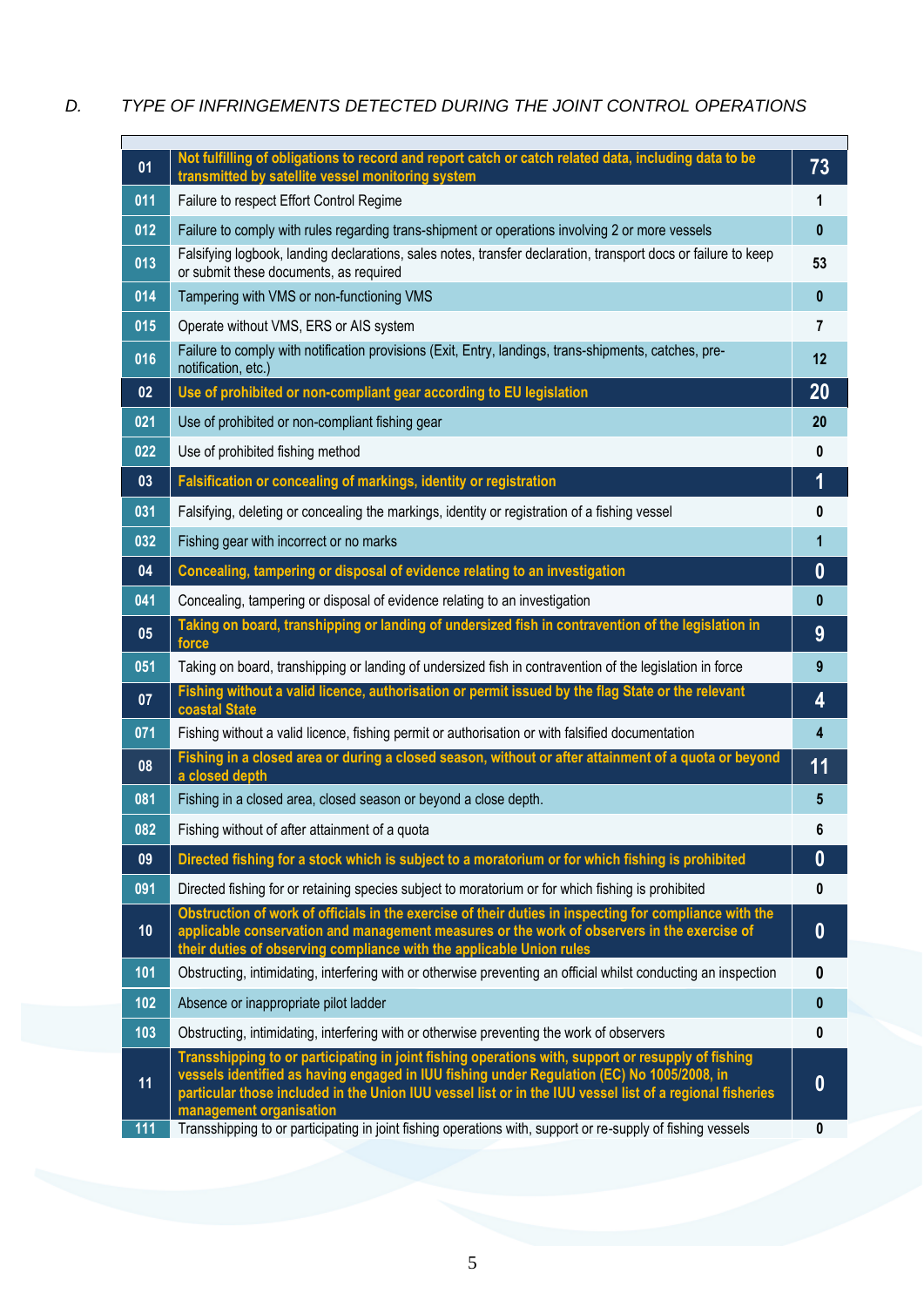## *D. TYPE OF INFRINGEMENTS DETECTED DURING THE JOINT CONTROL OPERATIONS*

| 01  | Not fulfilling of obligations to record and report catch or catch related data, including data to be<br>transmitted by satellite vessel monitoring system                                                                                                                                                    | 73           |
|-----|--------------------------------------------------------------------------------------------------------------------------------------------------------------------------------------------------------------------------------------------------------------------------------------------------------------|--------------|
| 011 | Failure to respect Effort Control Regime                                                                                                                                                                                                                                                                     | 1            |
| 012 | Failure to comply with rules regarding trans-shipment or operations involving 2 or more vessels                                                                                                                                                                                                              | $\mathbf{0}$ |
| 013 | Falsifying logbook, landing declarations, sales notes, transfer declaration, transport docs or failure to keep<br>or submit these documents, as required                                                                                                                                                     | 53           |
| 014 | Tampering with VMS or non-functioning VMS                                                                                                                                                                                                                                                                    | $\pmb{0}$    |
| 015 | Operate without VMS, ERS or AIS system                                                                                                                                                                                                                                                                       | 7            |
| 016 | Failure to comply with notification provisions (Exit, Entry, landings, trans-shipments, catches, pre-<br>notification, etc.)                                                                                                                                                                                 | 12           |
| 02  | Use of prohibited or non-compliant gear according to EU legislation                                                                                                                                                                                                                                          | 20           |
| 021 | Use of prohibited or non-compliant fishing gear                                                                                                                                                                                                                                                              | 20           |
| 022 | Use of prohibited fishing method                                                                                                                                                                                                                                                                             | 0            |
| 03  | Falsification or concealing of markings, identity or registration                                                                                                                                                                                                                                            | 1            |
| 031 | Falsifying, deleting or concealing the markings, identity or registration of a fishing vessel                                                                                                                                                                                                                | 0            |
| 032 | Fishing gear with incorrect or no marks                                                                                                                                                                                                                                                                      | 1            |
| 04  | Concealing, tampering or disposal of evidence relating to an investigation                                                                                                                                                                                                                                   | $\bf{0}$     |
| 041 | Concealing, tampering or disposal of evidence relating to an investigation                                                                                                                                                                                                                                   | $\bf{0}$     |
| 05  | Taking on board, transhipping or landing of undersized fish in contravention of the legislation in<br>force                                                                                                                                                                                                  | 9            |
| 051 | Taking on board, transhipping or landing of undersized fish in contravention of the legislation in force                                                                                                                                                                                                     | 9            |
| 07  | Fishing without a valid licence, authorisation or permit issued by the flag State or the relevant<br>coastal State                                                                                                                                                                                           | 4            |
| 071 | Fishing without a valid licence, fishing permit or authorisation or with falsified documentation                                                                                                                                                                                                             | 4            |
| 08  | Fishing in a closed area or during a closed season, without or after attainment of a quota or beyond<br>a closed depth                                                                                                                                                                                       | 11           |
| 081 | Fishing in a closed area, closed season or beyond a close depth.                                                                                                                                                                                                                                             | 5            |
| 082 | Fishing without of after attainment of a quota                                                                                                                                                                                                                                                               | 6            |
| 09  | Directed fishing for a stock which is subject to a moratorium or for which fishing is prohibited                                                                                                                                                                                                             | $\bf{0}$     |
| 091 | Directed fishing for or retaining species subject to moratorium or for which fishing is prohibited                                                                                                                                                                                                           | 0            |
| 10  | Obstruction of work of officials in the exercise of their duties in inspecting for compliance with the<br>applicable conservation and management measures or the work of observers in the exercise of<br>their duties of observing compliance with the applicable Union rules                                | $\bf{0}$     |
| 101 | Obstructing, intimidating, interfering with or otherwise preventing an official whilst conducting an inspection                                                                                                                                                                                              | 0            |
| 102 | Absence or inappropriate pilot ladder                                                                                                                                                                                                                                                                        | $\pmb{0}$    |
| 103 | Obstructing, intimidating, interfering with or otherwise preventing the work of observers                                                                                                                                                                                                                    | $\mathbf{0}$ |
| 11  | Transshipping to or participating in joint fishing operations with, support or resupply of fishing<br>vessels identified as having engaged in IUU fishing under Regulation (EC) No 1005/2008, in<br>particular those included in the Union IUU vessel list or in the IUU vessel list of a regional fisheries | $\bf{0}$     |
| 111 | management organisation<br>Transshipping to or participating in joint fishing operations with, support or re-supply of fishing vessels                                                                                                                                                                       | $\pmb{0}$    |